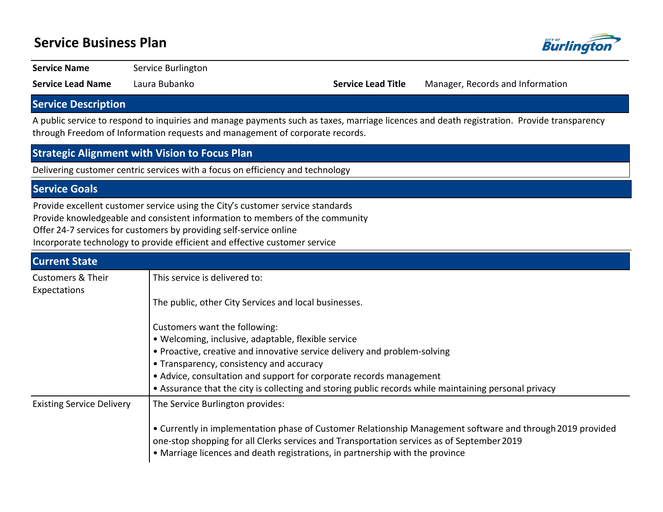# **Service Business Plan**



**Service Name** Service Burlington

**Service Lead Name** Laura Bubanko **Service Lead Title** Manager, Records and Information

## **Service Description**

A public service to respond to inquiries and manage payments such as taxes, marriage licences and death registration. Provide transparency through Freedom of Information requests and management of corporate records.

#### **Strategic Alignment with Vision to Focus Plan**

Delivering customer centric services with a focus on efficiency and technology

### **Service Goals**

Provide excellent customer service using the City's customer service standards

Provide knowledgeable and consistent information to members of the community

Offer 24-7 services for customers by providing self-service online

Incorporate technology to provide efficient and effective customer service

| <b>Current State</b>                         |                                                                                                                                                                                                                                                                                           |
|----------------------------------------------|-------------------------------------------------------------------------------------------------------------------------------------------------------------------------------------------------------------------------------------------------------------------------------------------|
| <b>Customers &amp; Their</b><br>Expectations | This service is delivered to:                                                                                                                                                                                                                                                             |
|                                              | The public, other City Services and local businesses.                                                                                                                                                                                                                                     |
|                                              | Customers want the following:                                                                                                                                                                                                                                                             |
|                                              | • Welcoming, inclusive, adaptable, flexible service                                                                                                                                                                                                                                       |
|                                              | • Proactive, creative and innovative service delivery and problem-solving                                                                                                                                                                                                                 |
|                                              | • Transparency, consistency and accuracy                                                                                                                                                                                                                                                  |
|                                              | • Advice, consultation and support for corporate records management                                                                                                                                                                                                                       |
|                                              | • Assurance that the city is collecting and storing public records while maintaining personal privacy                                                                                                                                                                                     |
| <b>Existing Service Delivery</b>             | The Service Burlington provides:                                                                                                                                                                                                                                                          |
|                                              | • Currently in implementation phase of Customer Relationship Management software and through 2019 provided<br>one-stop shopping for all Clerks services and Transportation services as of September 2019<br>• Marriage licences and death registrations, in partnership with the province |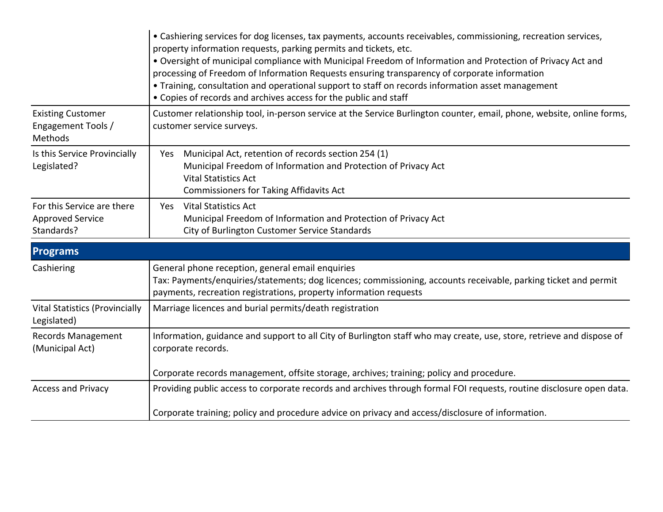|                                                                     | • Cashiering services for dog licenses, tax payments, accounts receivables, commissioning, recreation services,<br>property information requests, parking permits and tickets, etc.<br>. Oversight of municipal compliance with Municipal Freedom of Information and Protection of Privacy Act and<br>processing of Freedom of Information Requests ensuring transparency of corporate information<br>• Training, consultation and operational support to staff on records information asset management<br>• Copies of records and archives access for the public and staff |  |  |  |  |
|---------------------------------------------------------------------|-----------------------------------------------------------------------------------------------------------------------------------------------------------------------------------------------------------------------------------------------------------------------------------------------------------------------------------------------------------------------------------------------------------------------------------------------------------------------------------------------------------------------------------------------------------------------------|--|--|--|--|
| <b>Existing Customer</b><br>Engagement Tools /<br>Methods           | Customer relationship tool, in-person service at the Service Burlington counter, email, phone, website, online forms,<br>customer service surveys.                                                                                                                                                                                                                                                                                                                                                                                                                          |  |  |  |  |
| Is this Service Provincially<br>Legislated?                         | Municipal Act, retention of records section 254 (1)<br>Yes<br>Municipal Freedom of Information and Protection of Privacy Act<br><b>Vital Statistics Act</b><br>Commissioners for Taking Affidavits Act                                                                                                                                                                                                                                                                                                                                                                      |  |  |  |  |
| For this Service are there<br><b>Approved Service</b><br>Standards? | <b>Vital Statistics Act</b><br>Yes<br>Municipal Freedom of Information and Protection of Privacy Act<br>City of Burlington Customer Service Standards                                                                                                                                                                                                                                                                                                                                                                                                                       |  |  |  |  |
| <b>Programs</b>                                                     |                                                                                                                                                                                                                                                                                                                                                                                                                                                                                                                                                                             |  |  |  |  |
| Cashiering                                                          | General phone reception, general email enquiries<br>Tax: Payments/enquiries/statements; dog licences; commissioning, accounts receivable, parking ticket and permit<br>payments, recreation registrations, property information requests                                                                                                                                                                                                                                                                                                                                    |  |  |  |  |
| <b>Vital Statistics (Provincially</b><br>Legislated)                | Marriage licences and burial permits/death registration                                                                                                                                                                                                                                                                                                                                                                                                                                                                                                                     |  |  |  |  |
| <b>Records Management</b><br>(Municipal Act)                        | Information, guidance and support to all City of Burlington staff who may create, use, store, retrieve and dispose of<br>corporate records.                                                                                                                                                                                                                                                                                                                                                                                                                                 |  |  |  |  |
|                                                                     | Corporate records management, offsite storage, archives; training; policy and procedure.                                                                                                                                                                                                                                                                                                                                                                                                                                                                                    |  |  |  |  |
| <b>Access and Privacy</b>                                           | Providing public access to corporate records and archives through formal FOI requests, routine disclosure open data.                                                                                                                                                                                                                                                                                                                                                                                                                                                        |  |  |  |  |
|                                                                     | Corporate training; policy and procedure advice on privacy and access/disclosure of information.                                                                                                                                                                                                                                                                                                                                                                                                                                                                            |  |  |  |  |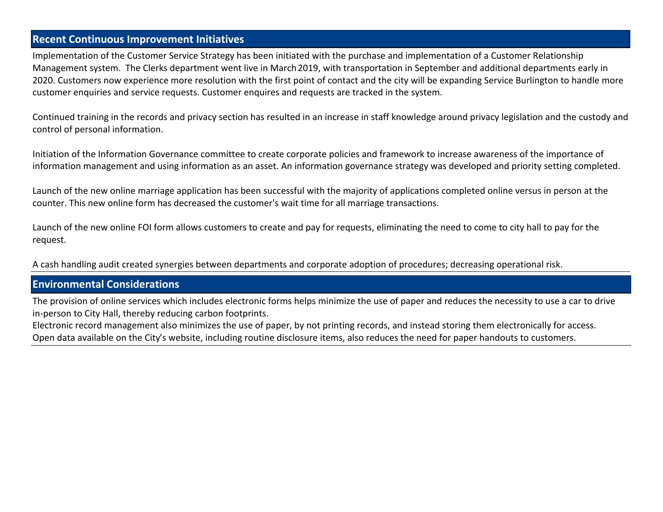### **Recent Continuous Improvement Initiatives**

Implementation of the Customer Service Strategy has been initiated with the purchase and implementation of a Customer Relationship Management system. The Clerks department went live in March 2019, with transportation in September and additional departments early in 2020. Customers now experience more resolution with the first point of contact and the city will be expanding Service Burlington to handle more customer enquiries and service requests. Customer enquires and requests are tracked in the system.

Continued training in the records and privacy section has resulted in an increase in staff knowledge around privacy legislation and the custody and control of personal information.

Initiation of the Information Governance committee to create corporate policies and framework to increase awareness of the importance of information management and using information as an asset. An information governance strategy was developed and priority setting completed.

Launch of the new online marriage application has been successful with the majority of applications completed online versus in person at the counter. This new online form has decreased the customer's wait time for all marriage transactions.

Launch of the new online FOI form allows customers to create and pay for requests, eliminating the need to come to city hall to pay for the request.

A cash handling audit created synergies between departments and corporate adoption of procedures; decreasing operational risk.

#### **Environmental Considerations**

The provision of online services which includes electronic forms helps minimize the use of paper and reduces the necessity to use a car to drive in-person to City Hall, thereby reducing carbon footprints.

Electronic record management also minimizes the use of paper, by not printing records, and instead storing them electronically for access. Open data available on the City's website, including routine disclosure items, also reduces the need for paper handouts to customers.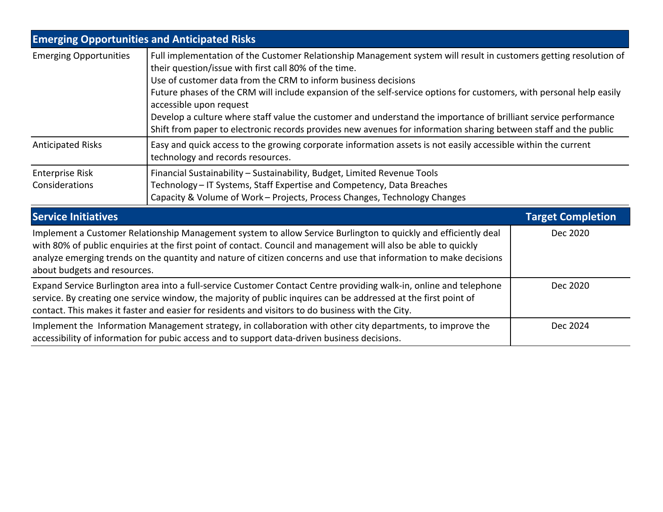| <b>Emerging Opportunities and Anticipated Risks</b>                                                                                                                                                                     |                                                                                                                                                                                                                                                                                                                                                                                                                                                                                                                                                                                                                                        |                          |  |  |
|-------------------------------------------------------------------------------------------------------------------------------------------------------------------------------------------------------------------------|----------------------------------------------------------------------------------------------------------------------------------------------------------------------------------------------------------------------------------------------------------------------------------------------------------------------------------------------------------------------------------------------------------------------------------------------------------------------------------------------------------------------------------------------------------------------------------------------------------------------------------------|--------------------------|--|--|
| <b>Emerging Opportunities</b>                                                                                                                                                                                           | Full implementation of the Customer Relationship Management system will result in customers getting resolution of<br>their question/issue with first call 80% of the time.<br>Use of customer data from the CRM to inform business decisions<br>Future phases of the CRM will include expansion of the self-service options for customers, with personal help easily<br>accessible upon request<br>Develop a culture where staff value the customer and understand the importance of brilliant service performance<br>Shift from paper to electronic records provides new avenues for information sharing between staff and the public |                          |  |  |
| <b>Anticipated Risks</b>                                                                                                                                                                                                | Easy and quick access to the growing corporate information assets is not easily accessible within the current<br>technology and records resources.                                                                                                                                                                                                                                                                                                                                                                                                                                                                                     |                          |  |  |
| <b>Enterprise Risk</b><br>Considerations                                                                                                                                                                                | Financial Sustainability - Sustainability, Budget, Limited Revenue Tools<br>Technology – IT Systems, Staff Expertise and Competency, Data Breaches<br>Capacity & Volume of Work - Projects, Process Changes, Technology Changes                                                                                                                                                                                                                                                                                                                                                                                                        |                          |  |  |
| <b>Service Initiatives</b>                                                                                                                                                                                              |                                                                                                                                                                                                                                                                                                                                                                                                                                                                                                                                                                                                                                        | <b>Target Completion</b> |  |  |
| about budgets and resources.                                                                                                                                                                                            | Implement a Customer Relationship Management system to allow Service Burlington to quickly and efficiently deal<br>with 80% of public enquiries at the first point of contact. Council and management will also be able to quickly<br>analyze emerging trends on the quantity and nature of citizen concerns and use that information to make decisions                                                                                                                                                                                                                                                                                | Dec 2020                 |  |  |
|                                                                                                                                                                                                                         | Expand Service Burlington area into a full-service Customer Contact Centre providing walk-in, online and telephone<br>service. By creating one service window, the majority of public inquires can be addressed at the first point of<br>contact. This makes it faster and easier for residents and visitors to do business with the City.                                                                                                                                                                                                                                                                                             | Dec 2020                 |  |  |
| Implement the Information Management strategy, in collaboration with other city departments, to improve the<br>Dec 2024<br>accessibility of information for pubic access and to support data-driven business decisions. |                                                                                                                                                                                                                                                                                                                                                                                                                                                                                                                                                                                                                                        |                          |  |  |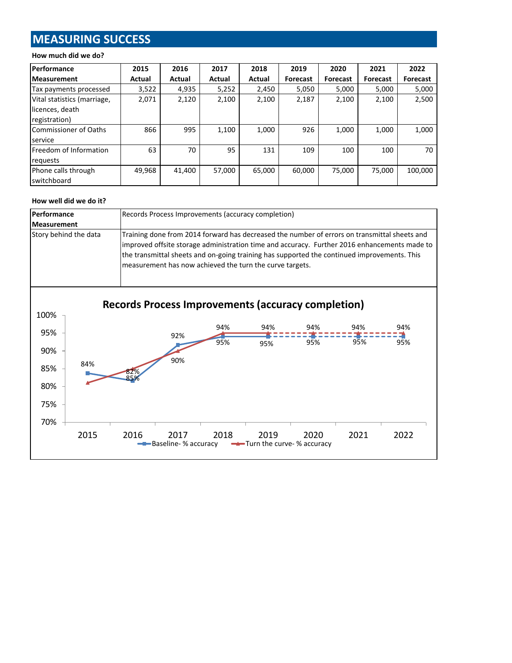## **MEASURING SUCCESS**

#### **How much did we do?**

| Performance                  | 2015   | 2016   | 2017   | 2018   | 2019     | 2020            | 2021     | 2022            |
|------------------------------|--------|--------|--------|--------|----------|-----------------|----------|-----------------|
| <b>Measurement</b>           | Actual | Actual | Actual | Actual | Forecast | <b>Forecast</b> | Forecast | <b>Forecast</b> |
| Tax payments processed       | 3,522  | 4,935  | 5,252  | 2,450  | 5,050    | 5,000           | 5,000    | 5,000           |
| Vital statistics (marriage,  | 2,071  | 2,120  | 2,100  | 2,100  | 2,187    | 2,100           | 2,100    | 2,500           |
| licences, death              |        |        |        |        |          |                 |          |                 |
| registration)                |        |        |        |        |          |                 |          |                 |
| <b>Commissioner of Oaths</b> | 866    | 995    | 1,100  | 1,000  | 926      | 1,000           | 1,000    | 1,000           |
| service                      |        |        |        |        |          |                 |          |                 |
| Freedom of Information       | 63     | 70     | 95     | 131    | 109      | 100             | 100      | 70              |
| requests                     |        |        |        |        |          |                 |          |                 |
| Phone calls through          | 49,968 | 41,400 | 57,000 | 65,000 | 60,000   | 75,000          | 75,000   | 100,000         |
| switchboard                  |        |        |        |        |          |                 |          |                 |

#### **How well did we do it?**

70%



2015 2016 2017 2018 2019 2020 2021 2022

Baseline- % accuracy  $\longrightarrow$ Turn the curve- % accuracy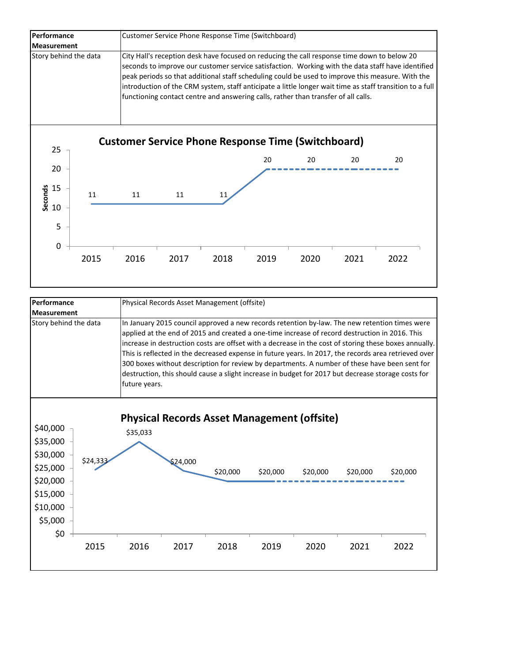